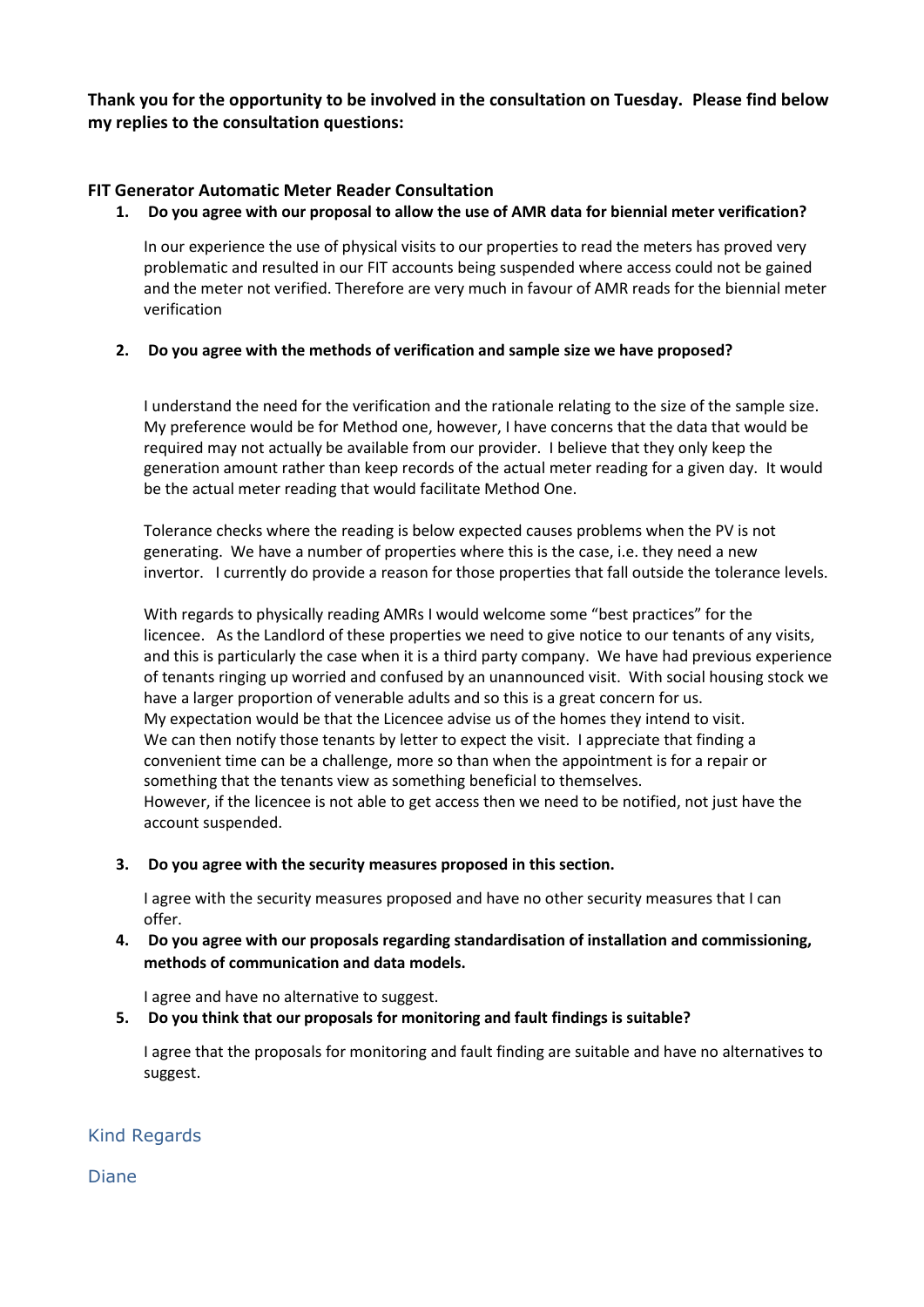**Thank you for the opportunity to be involved in the consultation on Tuesday. Please find below my replies to the consultation questions:**

# **FIT Generator Automatic Meter Reader Consultation**

### **1. Do you agree with our proposal to allow the use of AMR data for biennial meter verification?**

In our experience the use of physical visits to our properties to read the meters has proved very problematic and resulted in our FIT accounts being suspended where access could not be gained and the meter not verified. Therefore are very much in favour of AMR reads for the biennial meter verification

## **2. Do you agree with the methods of verification and sample size we have proposed?**

I understand the need for the verification and the rationale relating to the size of the sample size. My preference would be for Method one, however, I have concerns that the data that would be required may not actually be available from our provider. I believe that they only keep the generation amount rather than keep records of the actual meter reading for a given day. It would be the actual meter reading that would facilitate Method One.

Tolerance checks where the reading is below expected causes problems when the PV is not generating. We have a number of properties where this is the case, i.e. they need a new invertor. I currently do provide a reason for those properties that fall outside the tolerance levels.

With regards to physically reading AMRs I would welcome some "best practices" for the licencee. As the Landlord of these properties we need to give notice to our tenants of any visits, and this is particularly the case when it is a third party company. We have had previous experience of tenants ringing up worried and confused by an unannounced visit. With social housing stock we have a larger proportion of venerable adults and so this is a great concern for us. My expectation would be that the Licencee advise us of the homes they intend to visit. We can then notify those tenants by letter to expect the visit. I appreciate that finding a convenient time can be a challenge, more so than when the appointment is for a repair or something that the tenants view as something beneficial to themselves. However, if the licencee is not able to get access then we need to be notified, not just have the account suspended.

## **3. Do you agree with the security measures proposed in this section.**

I agree with the security measures proposed and have no other security measures that I can offer.

# **4. Do you agree with our proposals regarding standardisation of installation and commissioning, methods of communication and data models.**

I agree and have no alternative to suggest.

## **5. Do you think that our proposals for monitoring and fault findings is suitable?**

I agree that the proposals for monitoring and fault finding are suitable and have no alternatives to suggest.

# Kind Regards

Diane